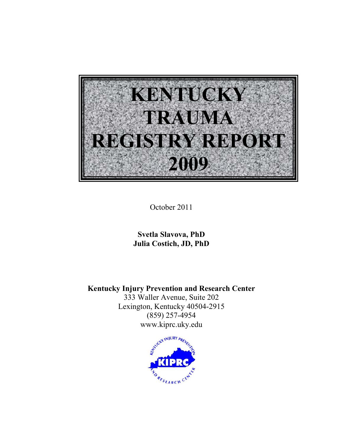

October 2011

**Svetla Slavova, PhD Julia Costich, JD, PhD** 

**Kentucky Injury Prevention and Research Center**  333 Waller Avenue, Suite 202

Lexington, Kentucky 40504-2915 (859) 257-4954 www.kiprc.uky.edu

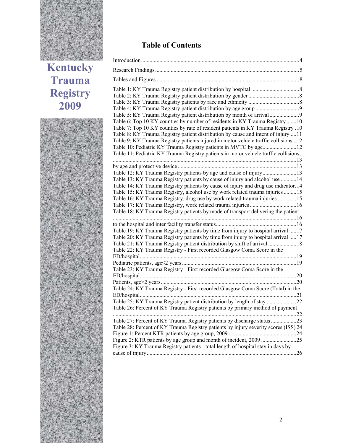

**Kentucky Trauma Registry 2009**



# **Table of Contents**

| Table 5: KY Trauma Registry patient distribution by month of arrival                 |  |
|--------------------------------------------------------------------------------------|--|
| Table 6: Top 10 KY counties by number of residents in KY Trauma Registry 10          |  |
| Table 7: Top 10 KY counties by rate of resident patients in KY Trauma Registry .10   |  |
| Table 8: KY Trauma Registry patient distribution by cause and intent of injury11     |  |
| Table 9: KY Trauma Registry patients injured in motor vehicle traffic collisions 12  |  |
| Table 10: Pediatric KY Trauma Registry patients in MVTC by age12                     |  |
| Table 11: Pediatric KY Trauma Registry patients in motor vehicle traffic collisions, |  |
|                                                                                      |  |
|                                                                                      |  |
|                                                                                      |  |
| Table 13: KY Trauma Registry patients by cause of injury and alcohol use 14          |  |
| Table 14: KY Trauma Registry patients by cause of injury and drug use indicator.14   |  |
| Table 15: KY Trauma Registry, alcohol use by work related trauma injuries 15         |  |
| Table 16: KY Trauma Registry, drug use by work related trauma injuries15             |  |
|                                                                                      |  |
| Table 18: KY Trauma Registry patients by mode of transport delivering the patient    |  |
|                                                                                      |  |
|                                                                                      |  |
| Table 19: KY Trauma Registry patients by time from injury to hospital arrival 17     |  |
| Table 20: KY Trauma Registry patients by time from injury to hospital arrival  17    |  |
| Table 21: KY Trauma Registry patient distribution by shift of arrival 18             |  |
| Table 22: KY Trauma Registry - First recorded Glasgow Coma Score in the              |  |
|                                                                                      |  |
|                                                                                      |  |
| Table 23: KY Trauma Registry - First recorded Glasgow Coma Score in the              |  |
|                                                                                      |  |
|                                                                                      |  |
| Table 24: KY Trauma Registry - First recorded Glasgow Coma Score (Total) in the      |  |
|                                                                                      |  |
| Table 25: KY Trauma Registry patient distribution by length of stay 22               |  |
| Table 26: Percent of KY Trauma Registry patients by primary method of payment        |  |
|                                                                                      |  |
|                                                                                      |  |
| Table 28: Percent of KY Trauma Registry patients by injury severity scores (ISS) 24  |  |
|                                                                                      |  |
|                                                                                      |  |
| Figure 3: KY Trauma Registry patients - total length of hospital stay in days by     |  |
|                                                                                      |  |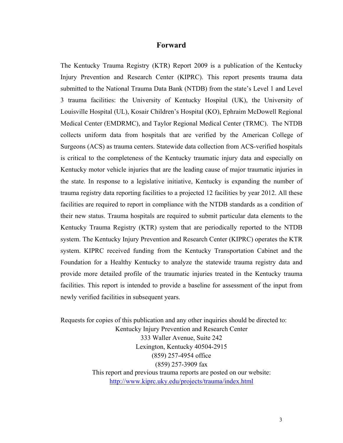#### **Forward**

The Kentucky Trauma Registry (KTR) Report 2009 is a publication of the Kentucky Injury Prevention and Research Center (KIPRC). This report presents trauma data submitted to the National Trauma Data Bank (NTDB) from the state's Level 1 and Level 3 trauma facilities: the University of Kentucky Hospital (UK), the University of Louisville Hospital (UL), Kosair Children's Hospital (KO), Ephraim McDowell Regional Medical Center (EMDRMC), and Taylor Regional Medical Center (TRMC). The NTDB collects uniform data from hospitals that are verified by the American College of Surgeons (ACS) as trauma centers. Statewide data collection from ACS-verified hospitals is critical to the completeness of the Kentucky traumatic injury data and especially on Kentucky motor vehicle injuries that are the leading cause of major traumatic injuries in the state. In response to a legislative initiative, Kentucky is expanding the number of trauma registry data reporting facilities to a projected 12 facilities by year 2012. All these facilities are required to report in compliance with the NTDB standards as a condition of their new status. Trauma hospitals are required to submit particular data elements to the Kentucky Trauma Registry (KTR) system that are periodically reported to the NTDB system. The Kentucky Injury Prevention and Research Center (KIPRC) operates the KTR system. KIPRC received funding from the Kentucky Transportation Cabinet and the Foundation for a Healthy Kentucky to analyze the statewide trauma registry data and provide more detailed profile of the traumatic injuries treated in the Kentucky trauma facilities. This report is intended to provide a baseline for assessment of the input from newly verified facilities in subsequent years.

Requests for copies of this publication and any other inquiries should be directed to: Kentucky Injury Prevention and Research Center 333 Waller Avenue, Suite 242 Lexington, Kentucky 40504-2915 (859) 257-4954 office (859) 257-3909 fax This report and previous trauma reports are posted on our website: http://www.kiprc.uky.edu/projects/trauma/index.html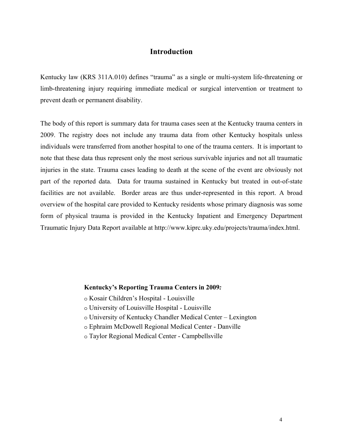### **Introduction**

Kentucky law (KRS 311A.010) defines "trauma" as a single or multi-system life-threatening or limb-threatening injury requiring immediate medical or surgical intervention or treatment to prevent death or permanent disability.

The body of this report is summary data for trauma cases seen at the Kentucky trauma centers in 2009. The registry does not include any trauma data from other Kentucky hospitals unless individuals were transferred from another hospital to one of the trauma centers. It is important to note that these data thus represent only the most serious survivable injuries and not all traumatic injuries in the state. Trauma cases leading to death at the scene of the event are obviously not part of the reported data. Data for trauma sustained in Kentucky but treated in out-of-state facilities are not available. Border areas are thus under-represented in this report. A broad overview of the hospital care provided to Kentucky residents whose primary diagnosis was some form of physical trauma is provided in the Kentucky Inpatient and Emergency Department Traumatic Injury Data Report available at http://www.kiprc.uky.edu/projects/trauma/index.html.

#### **Kentucky's Reporting Trauma Centers in 2009***:*

- o Kosair Children's Hospital Louisville
- o University of Louisville Hospital Louisville
- o University of Kentucky Chandler Medical Center Lexington
- o Ephraim McDowell Regional Medical Center Danville
- o Taylor Regional Medical Center Campbellsville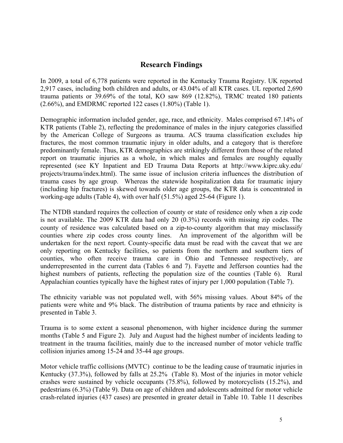## **Research Findings**

In 2009, a total of 6,778 patients were reported in the Kentucky Trauma Registry. UK reported 2,917 cases, including both children and adults, or 43.04% of all KTR cases. UL reported 2,690 trauma patients or 39.69% of the total, KO saw 869 (12.82%), TRMC treated 180 patients (2.66%), and EMDRMC reported 122 cases (1.80%) (Table 1).

Demographic information included gender, age, race, and ethnicity. Males comprised 67.14% of KTR patients (Table 2), reflecting the predominance of males in the injury categories classified by the American College of Surgeons as trauma. ACS trauma classification excludes hip fractures, the most common traumatic injury in older adults, and a category that is therefore predominantly female. Thus, KTR demographics are strikingly different from those of the related report on traumatic injuries as a whole, in which males and females are roughly equally represented (see KY Inpatient and ED Trauma Data Reports at http://www.kiprc.uky.edu/ projects/trauma/index.html). The same issue of inclusion criteria influences the distribution of trauma cases by age group. Whereas the statewide hospitalization data for traumatic injury (including hip fractures) is skewed towards older age groups, the KTR data is concentrated in working-age adults (Table 4), with over half (51.5%) aged 25-64 (Figure 1).

The NTDB standard requires the collection of county or state of residence only when a zip code is not available. The 2009 KTR data had only 20 (0.3%) records with missing zip codes. The county of residence was calculated based on a zip-to-county algorithm that may misclassify counties where zip codes cross county lines. An improvement of the algorithm will be undertaken for the next report. County-specific data must be read with the caveat that we are only reporting on Kentucky facilities, so patients from the northern and southern tiers of counties, who often receive trauma care in Ohio and Tennessee respectively, are underrepresented in the current data (Tables 6 and 7). Fayette and Jefferson counties had the highest numbers of patients, reflecting the population size of the counties (Table 6). Rural Appalachian counties typically have the highest rates of injury per 1,000 population (Table 7).

The ethnicity variable was not populated well, with 56% missing values. About 84% of the patients were white and 9% black. The distribution of trauma patients by race and ethnicity is presented in Table 3.

Trauma is to some extent a seasonal phenomenon, with higher incidence during the summer months (Table 5 and Figure 2). July and August had the highest number of incidents leading to treatment in the trauma facilities, mainly due to the increased number of motor vehicle traffic collision injuries among 15-24 and 35-44 age groups.

Motor vehicle traffic collisions (MVTC) continue to be the leading cause of traumatic injuries in Kentucky (37.3%), followed by falls at 25.2% (Table 8). Most of the injuries in motor vehicle crashes were sustained by vehicle occupants (75.8%), followed by motorcyclists (15.2%), and pedestrians (6.3%) (Table 9). Data on age of children and adolescents admitted for motor vehicle crash-related injuries (437 cases) are presented in greater detail in Table 10. Table 11 describes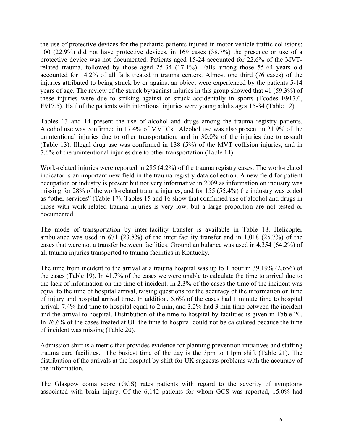the use of protective devices for the pediatric patients injured in motor vehicle traffic collisions: 100 (22.9%) did not have protective devices, in 169 cases (38.7%) the presence or use of a protective device was not documented. Patients aged 15-24 accounted for 22.6% of the MVTrelated trauma, followed by those aged 25-34 (17.1%). Falls among those 55-64 years old accounted for 14.2% of all falls treated in trauma centers. Almost one third (76 cases) of the injuries attributed to being struck by or against an object were experienced by the patients 5-14 years of age. The review of the struck by/against injuries in this group showed that 41 (59.3%) of these injuries were due to striking against or struck accidentally in sports (Ecodes E917.0, E917.5). Half of the patients with intentional injuries were young adults ages 15-34 (Table 12).

Tables 13 and 14 present the use of alcohol and drugs among the trauma registry patients. Alcohol use was confirmed in 17.4% of MVTCs. Alcohol use was also present in 21.9% of the unintentional injuries due to other transportation, and in 30.0% of the injuries due to assault (Table 13). Illegal drug use was confirmed in 138 (5%) of the MVT collision injuries, and in 7.6% of the unintentional injuries due to other transportation (Table 14).

Work-related injuries were reported in 285 (4.2%) of the trauma registry cases. The work-related indicator is an important new field in the trauma registry data collection. A new field for patient occupation or industry is present but not very informative in 2009 as information on industry was missing for 28% of the work-related trauma injuries, and for 155 (55.4%) the industry was coded as "other services" (Table 17). Tables 15 and 16 show that confirmed use of alcohol and drugs in those with work-related trauma injuries is very low, but a large proportion are not tested or documented.

The mode of transportation by inter-facility transfer is available in Table 18. Helicopter ambulance was used in 671 (23.8%) of the inter facility transfer and in 1,018 (25.7%) of the cases that were not a transfer between facilities. Ground ambulance was used in 4,354 (64.2%) of all trauma injuries transported to trauma facilities in Kentucky.

The time from incident to the arrival at a trauma hospital was up to 1 hour in 39.19% (2,656) of the cases (Table 19). In 41.7% of the cases we were unable to calculate the time to arrival due to the lack of information on the time of incident. In 2.3% of the cases the time of the incident was equal to the time of hospital arrival, raising questions for the accuracy of the information on time of injury and hospital arrival time. In addition, 5.6% of the cases had 1 minute time to hospital arrival; 7.4% had time to hospital equal to 2 min, and 3.2% had 3 min time between the incident and the arrival to hospital. Distribution of the time to hospital by facilities is given in Table 20. In 76.6% of the cases treated at UL the time to hospital could not be calculated because the time of incident was missing (Table 20).

Admission shift is a metric that provides evidence for planning prevention initiatives and staffing trauma care facilities. The busiest time of the day is the 3pm to 11pm shift (Table 21). The distribution of the arrivals at the hospital by shift for UK suggests problems with the accuracy of the information.

The Glasgow coma score (GCS) rates patients with regard to the severity of symptoms associated with brain injury. Of the 6,142 patients for whom GCS was reported, 15.0% had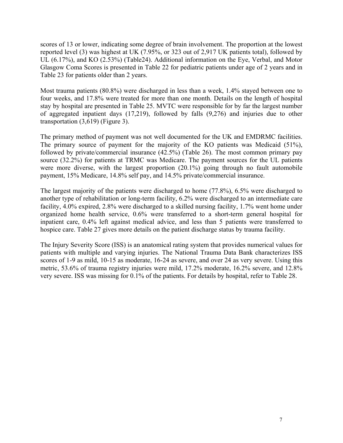scores of 13 or lower, indicating some degree of brain involvement. The proportion at the lowest reported level (3) was highest at UK (7.95%, or 323 out of 2,917 UK patients total), followed by UL (6.17%), and KO (2.53%) (Table24). Additional information on the Eye, Verbal, and Motor Glasgow Coma Scores is presented in Table 22 for pediatric patients under age of 2 years and in Table 23 for patients older than 2 years.

Most trauma patients (80.8%) were discharged in less than a week, 1.4% stayed between one to four weeks, and 17.8% were treated for more than one month. Details on the length of hospital stay by hospital are presented in Table 25. MVTC were responsible for by far the largest number of aggregated inpatient days (17,219), followed by falls (9,276) and injuries due to other transportation (3,619) (Figure 3).

The primary method of payment was not well documented for the UK and EMDRMC facilities. The primary source of payment for the majority of the KO patients was Medicaid (51%), followed by private/commercial insurance (42.5%) (Table 26). The most common primary pay source (32.2%) for patients at TRMC was Medicare. The payment sources for the UL patients were more diverse, with the largest proportion  $(20.1\%)$  going through no fault automobile payment, 15% Medicare, 14.8% self pay, and 14.5% private/commercial insurance.

The largest majority of the patients were discharged to home (77.8%), 6.5% were discharged to another type of rehabilitation or long-term facility, 6.2% were discharged to an intermediate care facility, 4.0% expired, 2.8% were discharged to a skilled nursing facility, 1.7% went home under organized home health service, 0.6% were transferred to a short-term general hospital for inpatient care, 0.4% left against medical advice, and less than 5 patients were transferred to hospice care. Table 27 gives more details on the patient discharge status by trauma facility.

The Injury Severity Score (ISS) is an anatomical rating system that provides numerical values for patients with multiple and varying injuries. The National Trauma Data Bank characterizes ISS scores of 1-9 as mild, 10-15 as moderate, 16-24 as severe, and over 24 as very severe. Using this metric, 53.6% of trauma registry injuries were mild, 17.2% moderate, 16.2% severe, and 12.8% very severe. ISS was missing for 0.1% of the patients. For details by hospital, refer to Table 28.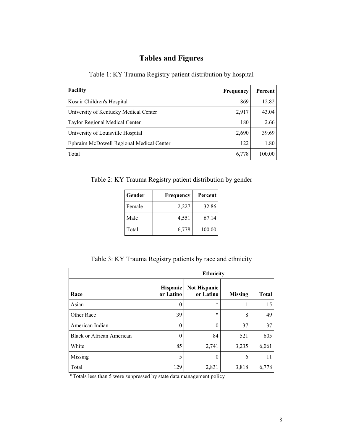# **Tables and Figures**

Table 1: KY Trauma Registry patient distribution by hospital

| <b>Facility</b>                          | <b>Frequency</b> | Percent |
|------------------------------------------|------------------|---------|
| Kosair Children's Hospital               | 869              | 12.82   |
| University of Kentucky Medical Center    | 2,917            | 43.04   |
| <b>Taylor Regional Medical Center</b>    | 180              | 2.66    |
| University of Louisville Hospital        | 2,690            | 39.69   |
| Ephraim McDowell Regional Medical Center | 122              | 1.80    |
| Total                                    | 6,778            | 100.00  |

Table 2: KY Trauma Registry patient distribution by gender

| Gender | Frequency | Percent |
|--------|-----------|---------|
| Female | 2,227     | 32.86   |
| Male   | 4,551     | 67.14   |
| Total  | 6,778     | 100.00  |

Table 3: KY Trauma Registry patients by race and ethnicity

|                                  | <b>Ethnicity</b>             |                                  |                |              |  |  |  |
|----------------------------------|------------------------------|----------------------------------|----------------|--------------|--|--|--|
| Race                             | <b>Hispanic</b><br>or Latino | <b>Not Hispanic</b><br>or Latino | <b>Missing</b> | <b>Total</b> |  |  |  |
| Asian                            | $\boldsymbol{0}$             | $\ast$                           | 11             | 15           |  |  |  |
| Other Race                       | 39                           | $\ast$                           | 8              | 49           |  |  |  |
| American Indian                  | $\Omega$                     | $\theta$                         | 37             | 37           |  |  |  |
| <b>Black or African American</b> | $\boldsymbol{0}$             | 84                               | 521            | 605          |  |  |  |
| White                            | 85                           | 2,741                            | 3,235          | 6,061        |  |  |  |
| Missing                          | 5                            | $\theta$                         | 6              | 11           |  |  |  |
| Total                            | 129                          | 2,831                            | 3,818          | 6,778        |  |  |  |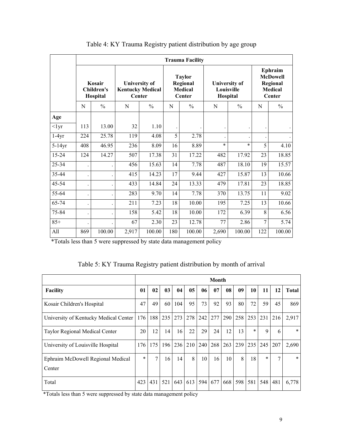|           |                                         | <b>Trauma Facility</b> |       |                                                           |     |                                                       |        |                                                |     |                                                                           |  |  |
|-----------|-----------------------------------------|------------------------|-------|-----------------------------------------------------------|-----|-------------------------------------------------------|--------|------------------------------------------------|-----|---------------------------------------------------------------------------|--|--|
|           | Kosair<br><b>Children's</b><br>Hospital |                        |       | <b>University of</b><br><b>Kentucky Medical</b><br>Center |     | <b>Taylor</b><br>Regional<br><b>Medical</b><br>Center |        | <b>University of</b><br>Louisville<br>Hospital |     | Ephraim<br><b>McDowell</b><br>Regional<br><b>Medical</b><br><b>Center</b> |  |  |
|           | N                                       | $\frac{0}{0}$          | N     | $\frac{0}{0}$                                             | N   | $\frac{0}{0}$                                         | N      | $\frac{0}{0}$                                  | N   | $\%$                                                                      |  |  |
| Age       |                                         |                        |       |                                                           |     |                                                       |        |                                                |     |                                                                           |  |  |
| $<$ lyr   | 113                                     | 13.00                  | 32    | 1.10                                                      |     |                                                       |        |                                                |     |                                                                           |  |  |
| $1-4yr$   | 224                                     | 25.78                  | 119   | 4.08                                                      | 5   | 2.78                                                  |        |                                                |     |                                                                           |  |  |
| $5-14yr$  | 408                                     | 46.95                  | 236   | 8.09                                                      | 16  | 8.89                                                  | $\ast$ | $\ast$                                         | 5   | 4.10                                                                      |  |  |
| $15 - 24$ | 124                                     | 14.27                  | 507   | 17.38                                                     | 31  | 17.22                                                 | 482    | 17.92                                          | 23  | 18.85                                                                     |  |  |
| 25-34     |                                         |                        | 456   | 15.63                                                     | 14  | 7.78                                                  | 487    | 18.10                                          | 19  | 15.57                                                                     |  |  |
| 35-44     |                                         |                        | 415   | 14.23                                                     | 17  | 9.44                                                  | 427    | 15.87                                          | 13  | 10.66                                                                     |  |  |
| 45-54     |                                         |                        | 433   | 14.84                                                     | 24  | 13.33                                                 | 479    | 17.81                                          | 23  | 18.85                                                                     |  |  |
| 55-64     |                                         |                        | 283   | 9.70                                                      | 14  | 7.78                                                  | 370    | 13.75                                          | 11  | 9.02                                                                      |  |  |
| 65-74     |                                         |                        | 211   | 7.23                                                      | 18  | 10.00                                                 | 195    | 7.25                                           | 13  | 10.66                                                                     |  |  |
| 75-84     |                                         |                        | 158   | 5.42                                                      | 18  | 10.00                                                 | 172    | 6.39                                           | 8   | 6.56                                                                      |  |  |
| $85+$     |                                         |                        | 67    | 2.30                                                      | 23  | 12.78                                                 | 77     | 2.86                                           | 7   | 5.74                                                                      |  |  |
| All       | 869                                     | 100.00                 | 2,917 | 100.00                                                    | 180 | 100.00                                                | 2,690  | 100.00                                         | 122 | 100.00                                                                    |  |  |

Table 4: KY Trauma Registry patient distribution by age group

| Table 5: KY Trauma Registry patient distribution by month of arrival |
|----------------------------------------------------------------------|
|----------------------------------------------------------------------|

|                                             | Month  |     |     |     |                |     |     |     |         |        |        |              |              |
|---------------------------------------------|--------|-----|-----|-----|----------------|-----|-----|-----|---------|--------|--------|--------------|--------------|
| <b>Facility</b>                             | 01     | 02  | 03  | 04  | 0 <sub>5</sub> | 06  | 07  | 08  | 09      | 10     | 11     | 12           | <b>Total</b> |
| Kosair Children's Hospital                  | 47     | 49  | 60  | 104 | 95             | 73  | 92  | 93  | 80      | 72     | 59     | 45           | 869          |
| University of Kentucky Medical Center       | 176    | 188 | 235 | 273 | 278            | 242 | 277 | 290 | 258 253 |        | 231    | 216          | 2,917        |
| Taylor Regional Medical Center              | 20     | 12  | 14  | 16  | 22             | 29  | 24  | 12  | 13      | $\ast$ | 9      | 6            | *            |
| University of Louisville Hospital           | 176    | 175 | 196 | 236 | 210            | 240 | 268 | 263 | 239     | 235    | 245    | 207          | 2,690        |
| Ephraim McDowell Regional Medical<br>Center | $\ast$ | 7   | 16  | 14  | 8              | 10  | 16  | 10  | 8       | 18     | $\ast$ | $\mathbf{r}$ | $\ast$       |
| Total                                       | 423    | 431 | 521 | 643 | 613            | 594 | 677 | 668 | 598     | 581    | 548    | 481          | 6,778        |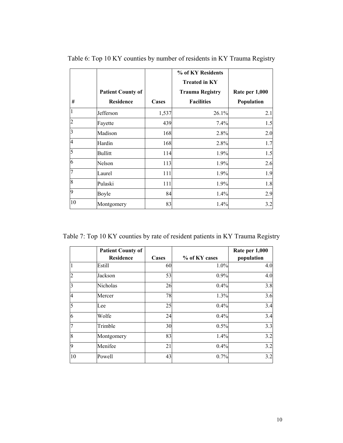|    |                          |       | % of KY Residents<br><b>Treated in KY</b> |                |
|----|--------------------------|-------|-------------------------------------------|----------------|
|    | <b>Patient County of</b> |       | <b>Trauma Registry</b>                    | Rate per 1,000 |
| #  | <b>Residence</b>         | Cases | <b>Facilities</b>                         | Population     |
|    | Jefferson                | 1,537 | 26.1%                                     | 2.1            |
|    | Fayette                  | 439   | 7.4%                                      | 1.5            |
| 3  | Madison                  | 168   | 2.8%                                      | 2.0            |
| 4  | Hardin                   | 168   | 2.8%                                      | 1.7            |
| 5  | <b>Bullitt</b>           | 114   | 1.9%                                      | 1.5            |
| 6  | Nelson                   | 113   | 1.9%                                      | 2.6            |
|    | Laurel                   | 111   | 1.9%                                      | 1.9            |
| 8  | Pulaski                  | 111   | 1.9%                                      | 1.8            |
| 9  | Boyle                    | 84    | 1.4%                                      | 2.9            |
| 10 | Montgomery               | 83    | 1.4%                                      | 3.2            |

Table 6: Top 10 KY counties by number of residents in KY Trauma Registry

Table 7: Top 10 KY counties by rate of resident patients in KY Trauma Registry

|    | <b>Patient County of</b><br><b>Residence</b> | Cases | % of KY cases | Rate per 1,000<br>population |
|----|----------------------------------------------|-------|---------------|------------------------------|
|    | Estill                                       | 60    | 1.0%          | 4.0                          |
|    | Jackson                                      | 53    | 0.9%          | 4.0                          |
| 3  | Nicholas                                     | 26    | 0.4%          | 3.8                          |
| 4  | Mercer                                       | 78    | 1.3%          | 3.6                          |
| 5  | Lee                                          | 25    | 0.4%          | 3.4                          |
| 6  | Wolfe                                        | 24    | 0.4%          | 3.4                          |
| 7  | Trimble                                      | 30    | 0.5%          | 3.3                          |
| 8  | Montgomery                                   | 83    | 1.4%          | 3.2                          |
| 9  | Menifee                                      | 21    | 0.4%          | 3.2                          |
| 10 | Powell                                       | 43    | 0.7%          | 3.2                          |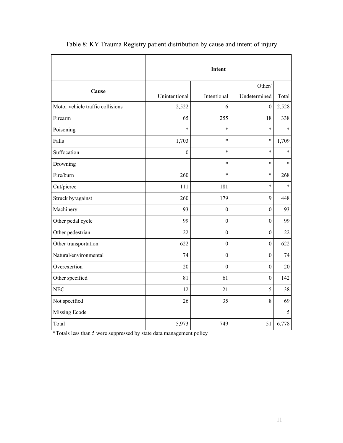|                                  |                  | Intent           |                  |        |
|----------------------------------|------------------|------------------|------------------|--------|
| Cause                            |                  |                  | Other/           |        |
|                                  | Unintentional    | Intentional      | Undetermined     | Total  |
| Motor vehicle traffic collisions | 2,522            | 6                | $\boldsymbol{0}$ | 2,528  |
| Firearm                          | 65               | 255              | 18               | 338    |
| Poisoning                        | $\ast$           | $\ast$           | $\ast$           | $\ast$ |
| Falls                            | 1,703            | $\ast$           | $\ast$           | 1,709  |
| Suffocation                      | $\boldsymbol{0}$ | $\ast$           | $\ast$           | $\ast$ |
| Drowning                         |                  | $\ast$           | $\ast$           | $\ast$ |
| Fire/burn                        | 260              | $\ast$           | $\ast$           | 268    |
| Cut/pierce                       | 111              | 181              | $\ast$           | $\ast$ |
| Struck by/against                | 260              | 179              | 9                | 448    |
| Machinery                        | 93               | $\mathbf{0}$     | $\mathbf{0}$     | 93     |
| Other pedal cycle                | 99               | $\boldsymbol{0}$ | $\boldsymbol{0}$ | 99     |
| Other pedestrian                 | 22               | $\boldsymbol{0}$ | $\boldsymbol{0}$ | 22     |
| Other transportation             | 622              | $\overline{0}$   | $\boldsymbol{0}$ | 622    |
| Natural/environmental            | 74               | $\mathbf{0}$     | $\boldsymbol{0}$ | 74     |
| Overexertion                     | 20               | $\mathbf{0}$     | $\boldsymbol{0}$ | 20     |
| Other specified                  | 81               | 61               | $\boldsymbol{0}$ | 142    |
| <b>NEC</b>                       | 12               | 21               | 5                | 38     |
| Not specified                    | 26               | 35               | $\,8\,$          | 69     |
| Missing Ecode                    |                  |                  |                  | 5      |
| Total                            | 5,973            | 749              | 51               | 6,778  |

Table 8: KY Trauma Registry patient distribution by cause and intent of injury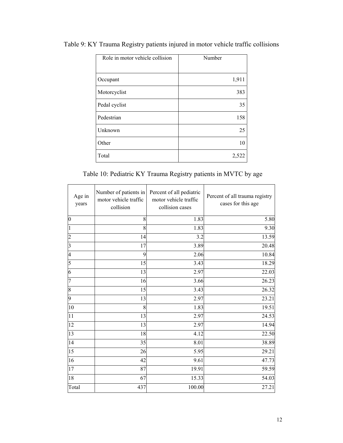| Role in motor vehicle collision | Number |
|---------------------------------|--------|
| Occupant                        | 1,911  |
| Motorcyclist                    | 383    |
| Pedal cyclist                   | 35     |
| Pedestrian                      | 158    |
| Unknown                         | 25     |
| Other                           | 10     |
| Total                           | 2,522  |

Table 9: KY Trauma Registry patients injured in motor vehicle traffic collisions

Table 10: Pediatric KY Trauma Registry patients in MVTC by age

| Age in<br>years         | Number of patients in<br>motor vehicle traffic<br>collision | Percent of all pediatric<br>motor vehicle traffic<br>collision cases | Percent of all trauma registry<br>cases for this age |
|-------------------------|-------------------------------------------------------------|----------------------------------------------------------------------|------------------------------------------------------|
| $\boldsymbol{0}$        | 8                                                           | 1.83                                                                 | 5.80                                                 |
|                         | 8                                                           | 1.83                                                                 | 9.30                                                 |
| 2                       | 14                                                          | 3.2                                                                  | 13.59                                                |
| $\overline{\mathbf{3}}$ | 17                                                          | 3.89                                                                 | 20.48                                                |
| $\overline{4}$          | 9                                                           | 2.06                                                                 | 10.84                                                |
| 5                       | 15                                                          | 3.43                                                                 | 18.29                                                |
| 6                       | 13                                                          | 2.97                                                                 | 22.03                                                |
| 7                       | 16                                                          | 3.66                                                                 | 26.23                                                |
| 8                       | 15                                                          | 3.43                                                                 | 26.32                                                |
| 9                       | 13                                                          | 2.97                                                                 | 23.21                                                |
| 10                      | 8                                                           | 1.83                                                                 | 19.51                                                |
| 11                      | 13                                                          | 2.97                                                                 | 24.53                                                |
| 12                      | 13                                                          | 2.97                                                                 | 14.94                                                |
| 13                      | 18                                                          | 4.12                                                                 | 22.50                                                |
| 14                      | 35                                                          | 8.01                                                                 | 38.89                                                |
| 15                      | 26                                                          | 5.95                                                                 | 29.21                                                |
| 16                      | 42                                                          | 9.61                                                                 | 47.73                                                |
| 17                      | 87                                                          | 19.91                                                                | 59.59                                                |
| 18                      | 67                                                          | 15.33                                                                | 54.03                                                |
| Total                   | 437                                                         | 100.00                                                               | 27.21                                                |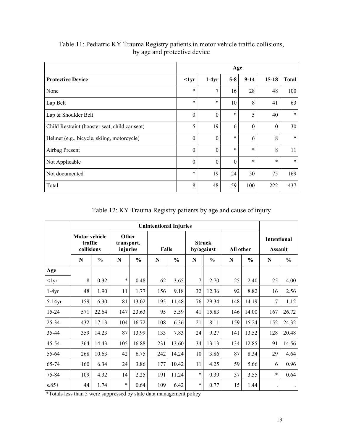|                                                | Age              |          |          |          |                |              |  |  |  |
|------------------------------------------------|------------------|----------|----------|----------|----------------|--------------|--|--|--|
| <b>Protective Device</b>                       | $\langle$ 1yr    | $1-4yr$  | $5-8$    | $9 - 14$ | $15-18$        | <b>Total</b> |  |  |  |
| None                                           | $\ast$           | 7        | 16       | 28       | 48             | 100          |  |  |  |
| Lap Belt                                       | $\ast$           | $\ast$   | 10       | 8        | 41             | 63           |  |  |  |
| Lap & Shoulder Belt                            | $\boldsymbol{0}$ | $\theta$ | $\ast$   | 5        | 40             | $\ast$       |  |  |  |
| Child Restraint (booster seat, child car seat) | 5                | 19       | 6        | $\theta$ | $\overline{0}$ | 30           |  |  |  |
| Helmet (e.g., bicycle, skiing, motorcycle)     | $\theta$         | $\theta$ | $\ast$   | 6        | 8              | $\ast$       |  |  |  |
| Airbag Present                                 | $\boldsymbol{0}$ | $\theta$ | $\ast$   | $\ast$   | 8              | 11           |  |  |  |
| Not Applicable                                 | $\boldsymbol{0}$ | $\theta$ | $\theta$ | $\ast$   | $\ast$         | $\ast$       |  |  |  |
| Not documented                                 | $\ast$           | 19       | 24       | 50       | 75             | 169          |  |  |  |
| Total                                          | 8                | 48       | 59       | 100      | 222            | 437          |  |  |  |

Table 11: Pediatric KY Trauma Registry patients in motor vehicle traffic collisions, by age and protective device

Table 12: KY Trauma Registry patients by age and cause of injury

|               |                                               |               |                                 |               | <b>Unintentional Injuries</b> |               |        |                             |           |               |                                      |               |
|---------------|-----------------------------------------------|---------------|---------------------------------|---------------|-------------------------------|---------------|--------|-----------------------------|-----------|---------------|--------------------------------------|---------------|
|               | <b>Motor vehicle</b><br>traffic<br>collisions |               | Other<br>transport.<br>injuries |               | Falls                         |               |        | <b>Struck</b><br>by/against | All other |               | <b>Intentional</b><br><b>Assault</b> |               |
|               | N                                             | $\frac{0}{0}$ | N                               | $\frac{6}{6}$ | N                             | $\frac{6}{6}$ | N      | $\frac{6}{6}$               | N         | $\frac{0}{0}$ | N                                    | $\frac{0}{0}$ |
| Age           |                                               |               |                                 |               |                               |               |        |                             |           |               |                                      |               |
| $\langle$ 1yr | 8                                             | 0.32          | $\ast$                          | 0.48          | 62                            | 3.65          | 7      | 2.70                        | 25        | 2.40          | 25                                   | 4.00          |
| $1-4yr$       | 48                                            | 1.90          | 11                              | 1.77          | 156                           | 9.18          | 32     | 12.36                       | 92        | 8.82          | 16                                   | 2.56          |
| $5-14yr$      | 159                                           | 6.30          | 81                              | 13.02         | 195                           | 11.48         | 76     | 29.34                       | 148       | 14.19         | 7                                    | 1.12          |
| 15-24         | 571                                           | 22.64         | 147                             | 23.63         | 95                            | 5.59          | 41     | 15.83                       | 146       | 14.00         | 167                                  | 26.72         |
| 25-34         | 432                                           | 17.13         | 104                             | 16.72         | 108                           | 6.36          | 21     | 8.11                        | 159       | 15.24         | 152                                  | 24.32         |
| 35-44         | 359                                           | 14.23         | 87                              | 13.99         | 133                           | 7.83          | 24     | 9.27                        | 141       | 13.52         | 128                                  | 20.48         |
| 45-54         | 364                                           | 14.43         | 105                             | 16.88         | 231                           | 13.60         | 34     | 13.13                       | 134       | 12.85         | 91                                   | 14.56         |
| 55-64         | 268                                           | 10.63         | 42                              | 6.75          | 242                           | 14.24         | 10     | 3.86                        | 87        | 8.34          | 29                                   | 4.64          |
| 65-74         | 160                                           | 6.34          | 24                              | 3.86          | 177                           | 10.42         | 11     | 4.25                        | 59        | 5.66          | 6                                    | 0.96          |
| 75-84         | 109                                           | 4.32          | 14                              | 2.25          | 191                           | 11.24         | $\ast$ | 0.39                        | 37        | 3.55          | $\ast$                               | 0.64          |
| $s.85+$       | 44                                            | 1.74          | $\ast$                          | 0.64          | 109                           | 6.42          | $\ast$ | 0.77                        | 15        | 1.44          |                                      |               |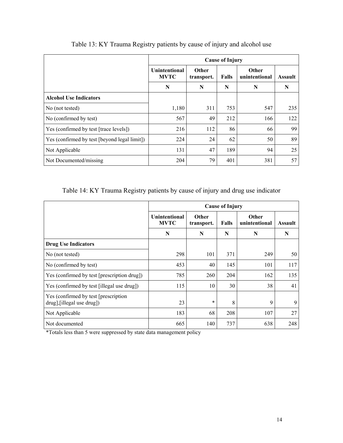|                                              |                                     |                     | <b>Cause of Injury</b> |                        |                |
|----------------------------------------------|-------------------------------------|---------------------|------------------------|------------------------|----------------|
|                                              | <b>Unintentional</b><br><b>MVTC</b> | Other<br>transport. | Falls                  | Other<br>unintentional | <b>Assault</b> |
|                                              | N                                   | N                   | N                      | N                      | N              |
| <b>Alcohol Use Indicators</b>                |                                     |                     |                        |                        |                |
| No (not tested)                              | 1,180                               | 311                 | 753                    | 547                    | 235            |
| No (confirmed by test)                       | 567                                 | 49                  | 212                    | 166                    | 122            |
| Yes (confirmed by test [trace levels])       | 216                                 | 112                 | 86                     | 66                     | 99             |
| Yes (confirmed by test [beyond legal limit]) | 224                                 | 24                  | 62                     | 50                     | 89             |
| Not Applicable                               | 131                                 | 47                  | 189                    | 94                     | 25             |
| Not Documented/missing                       | 204                                 | 79                  | 401                    | 381                    | 57             |

# Table 13: KY Trauma Registry patients by cause of injury and alcohol use

### Table 14: KY Trauma Registry patients by cause of injury and drug use indicator

|                                                                     |                                     |                            | <b>Cause of Injury</b> |                               |         |
|---------------------------------------------------------------------|-------------------------------------|----------------------------|------------------------|-------------------------------|---------|
|                                                                     | <b>Unintentional</b><br><b>MVTC</b> | <b>Other</b><br>transport. | Falls                  | <b>Other</b><br>unintentional | Assault |
|                                                                     | N                                   | N                          | N                      | N                             | N       |
| <b>Drug Use Indicators</b>                                          |                                     |                            |                        |                               |         |
| No (not tested)                                                     | 298                                 | 101                        | 371                    | 249                           | 50      |
| No (confirmed by test)                                              | 453                                 | 40                         | 145                    | 101                           | 117     |
| Yes (confirmed by test [prescription drug])                         | 785                                 | 260                        | 204                    | 162                           | 135     |
| Yes (confirmed by test [illegal use drug])                          | 115                                 | 10                         | 30                     | 38                            | 41      |
| Yes (confirmed by test [prescription]<br>drug], [illegal use drug]) | 23                                  | $\ast$                     | 8                      | 9                             | 9       |
| Not Applicable                                                      | 183                                 | 68                         | 208                    | 107                           | 27      |
| Not documented                                                      | 665                                 | 140                        | 737                    | 638                           | 248     |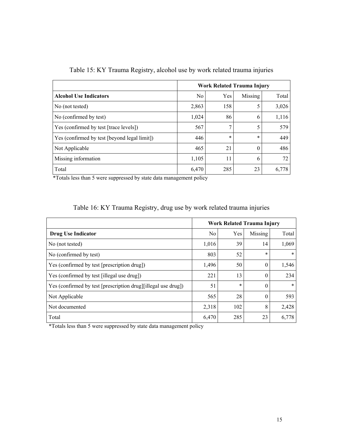|                                              | Work Related Trauma Injury |        |         |       |  |  |  |
|----------------------------------------------|----------------------------|--------|---------|-------|--|--|--|
| <b>Alcohol Use Indicators</b>                | N <sub>0</sub>             | Yes    | Missing | Total |  |  |  |
| No (not tested)                              | 2,863                      | 158    | 5       | 3,026 |  |  |  |
| No (confirmed by test)                       | 1,024                      | 86     | 6       | 1,116 |  |  |  |
| Yes (confirmed by test [trace levels])       | 567                        | 7      | 5       | 579   |  |  |  |
| Yes (confirmed by test [beyond legal limit]) | 446                        | $\ast$ | $\ast$  | 449   |  |  |  |
| Not Applicable                               | 465                        | 21     | 0       | 486   |  |  |  |
| Missing information                          | 1,105                      | 11     | 6       | 72    |  |  |  |
| Total                                        | 6,470                      | 285    | 23      | 6,778 |  |  |  |

Table 15: KY Trauma Registry, alcohol use by work related trauma injuries

|  | Table 16: KY Trauma Registry, drug use by work related trauma injuries |  |  |  |  |
|--|------------------------------------------------------------------------|--|--|--|--|

|                                                               | <b>Work Related Trauma Injury</b> |        |          |        |  |  |  |
|---------------------------------------------------------------|-----------------------------------|--------|----------|--------|--|--|--|
| Drug Use Indicator                                            | N <sub>0</sub>                    | Yes    | Missing  | Total  |  |  |  |
| No (not tested)                                               | 1,016                             | 39     | 14       | 1,069  |  |  |  |
| No (confirmed by test)                                        | 803                               | 52     | $\ast$   | $\ast$ |  |  |  |
| Yes (confirmed by test [prescription drug])                   | 1,496                             | 50     | $\theta$ | 1,546  |  |  |  |
| Yes (confirmed by test [illegal use drug])                    | 221                               | 13     | $\theta$ | 234    |  |  |  |
| Yes (confirmed by test [prescription drug][illegal use drug]) | 51                                | $\ast$ | $\theta$ | $\ast$ |  |  |  |
| Not Applicable                                                | 565                               | 28     | $\theta$ | 593    |  |  |  |
| Not documented                                                | 2,318                             | 102    | 8        | 2,428  |  |  |  |
| Total                                                         | 6,470                             | 285    | 23       | 6,778  |  |  |  |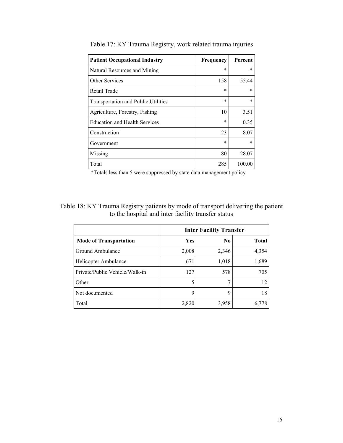| <b>Patient Occupational Industry</b>       | Frequency | Percent |
|--------------------------------------------|-----------|---------|
| Natural Resources and Mining               | $\ast$    | $\ast$  |
| Other Services                             | 158       | 55.44   |
| Retail Trade                               | $\ast$    | $\ast$  |
| <b>Transportation and Public Utilities</b> | $\ast$    | $\ast$  |
| Agriculture, Forestry, Fishing             | 10        | 3.51    |
| <b>Education and Health Services</b>       | $\ast$    | 0.35    |
| Construction                               | 23        | 8.07    |
| Government                                 | $\ast$    | $\ast$  |
| Missing                                    | 80        | 28.07   |
| Total                                      | 285       | 100.00  |

Table 17: KY Trauma Registry, work related trauma injuries

Table 18: KY Trauma Registry patients by mode of transport delivering the patient to the hospital and inter facility transfer status

|                                | <b>Inter Facility Transfer</b> |                |              |  |  |  |
|--------------------------------|--------------------------------|----------------|--------------|--|--|--|
| <b>Mode of Transportation</b>  | Yes                            | N <sub>0</sub> | <b>Total</b> |  |  |  |
| Ground Ambulance               | 2,008                          | 2,346          | 4,354        |  |  |  |
| Helicopter Ambulance           | 671                            | 1,018          | 1,689        |  |  |  |
| Private/Public Vehicle/Walk-in | 127                            | 578            | 705          |  |  |  |
| Other                          | 5                              |                | 12           |  |  |  |
| Not documented                 | 9                              | 9              | 18           |  |  |  |
| Total                          | 2,820                          | 3,958          | 6,778        |  |  |  |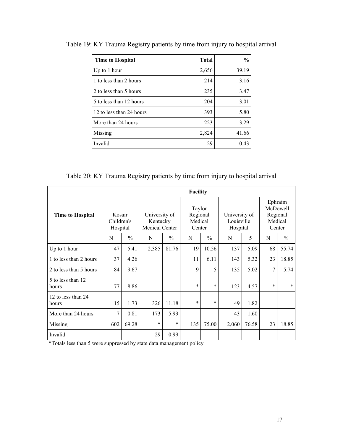| <b>Time to Hospital</b>  | <b>Total</b> | $\frac{0}{0}$ |
|--------------------------|--------------|---------------|
| Up to $1$ hour           | 2,656        | 39.19         |
| 1 to less than 2 hours   | 214          | 3.16          |
| 2 to less than 5 hours   | 235          | 3.47          |
| 5 to less than 12 hours  | 204          | 3.01          |
| 12 to less than 24 hours | 393          | 5.80          |
| More than 24 hours       | 223          | 3.29          |
| Missing                  | 2,824        | 41.66         |
| Invalid                  | 29           | 0.43          |

Table 19: KY Trauma Registry patients by time from injury to hospital arrival

Table 20: KY Trauma Registry patients by time from injury to hospital arrival

|                             |                                  |               |                                             |               | Facility                                |               |                                         |       |                                                      |               |
|-----------------------------|----------------------------------|---------------|---------------------------------------------|---------------|-----------------------------------------|---------------|-----------------------------------------|-------|------------------------------------------------------|---------------|
| <b>Time to Hospital</b>     | Kosair<br>Children's<br>Hospital |               | University of<br>Kentucky<br>Medical Center |               | Taylor<br>Regional<br>Medical<br>Center |               | University of<br>Louisville<br>Hospital |       | Ephraim<br>McDowell<br>Regional<br>Medical<br>Center |               |
|                             | N                                | $\frac{0}{0}$ | N                                           | $\frac{0}{0}$ | N                                       | $\frac{0}{0}$ | N                                       | 5     | N                                                    | $\frac{0}{0}$ |
| Up to 1 hour                | 47                               | 5.41          | 2,385                                       | 81.76         | 19                                      | 10.56         | 137                                     | 5.09  | 68                                                   | 55.74         |
| 1 to less than 2 hours      | 37                               | 4.26          |                                             |               | 11                                      | 6.11          | 143                                     | 5.32  | 23                                                   | 18.85         |
| 2 to less than 5 hours      | 84                               | 9.67          |                                             |               | 9                                       | 5             | 135                                     | 5.02  | $\overline{7}$                                       | 5.74          |
| 5 to less than 12<br>hours  | 77                               | 8.86          |                                             |               | $\ast$                                  | $\ast$        | 123                                     | 4.57  | $\ast$                                               | $\ast$        |
| 12 to less than 24<br>hours | 15                               | 1.73          | 326                                         | 11.18         | $\ast$                                  | $\ast$        | 49                                      | 1.82  |                                                      |               |
| More than 24 hours          | 7                                | 0.81          | 173                                         | 5.93          |                                         |               | 43                                      | 1.60  |                                                      |               |
| Missing                     | 602                              | 69.28         | $\ast$                                      | $\ast$        | 135                                     | 75.00         | 2,060                                   | 76.58 | 23                                                   | 18.85         |
| Invalid                     |                                  |               | 29                                          | 0.99          |                                         |               |                                         |       |                                                      |               |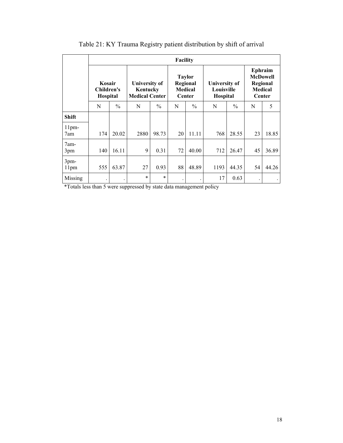|                         |                                  |               |                                                           |               | <b>Facility</b>                                              |               |                                                |               |                                                                    |       |
|-------------------------|----------------------------------|---------------|-----------------------------------------------------------|---------------|--------------------------------------------------------------|---------------|------------------------------------------------|---------------|--------------------------------------------------------------------|-------|
|                         | Kosair<br>Children's<br>Hospital |               | <b>University of</b><br>Kentucky<br><b>Medical Center</b> |               | <b>Taylor</b><br>Regional<br><b>Medical</b><br><b>Center</b> |               | <b>University of</b><br>Louisville<br>Hospital |               | Ephraim<br><b>McDowell</b><br>Regional<br><b>Medical</b><br>Center |       |
|                         | N                                | $\frac{0}{0}$ | N                                                         | $\frac{0}{0}$ | N                                                            | $\frac{0}{0}$ | N                                              | $\frac{0}{0}$ | N                                                                  | 5     |
| <b>Shift</b>            |                                  |               |                                                           |               |                                                              |               |                                                |               |                                                                    |       |
| 11 <sub>pm</sub><br>7am | 174                              | 20.02         | 2880                                                      | 98.73         | 20                                                           | 11.11         | 768                                            | 28.55         | 23                                                                 | 18.85 |
| $7am-$<br>3pm           | 140                              | 16.11         | 9                                                         | 0.31          | 72                                                           | 40.00         | 712                                            | 26.47         | 45                                                                 | 36.89 |
| 3pm-<br>11pm            | 555                              | 63.87         | 27                                                        | 0.93          | 88                                                           | 48.89         | 1193                                           | 44.35         | 54                                                                 | 44.26 |
| Missing                 |                                  |               | $\ast$                                                    | $\ast$        | $\bullet$                                                    |               | 17                                             | 0.63          |                                                                    |       |

Table 21: KY Trauma Registry patient distribution by shift of arrival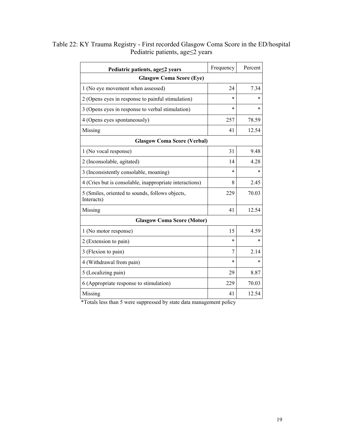| Pediatric patients, age≤2 years                               | Frequency | Percent |  |  |  |  |  |  |
|---------------------------------------------------------------|-----------|---------|--|--|--|--|--|--|
| <b>Glasgow Coma Score (Eye)</b>                               |           |         |  |  |  |  |  |  |
| 1 (No eye movement when assessed)                             | 24        | 7.34    |  |  |  |  |  |  |
| 2 (Opens eyes in response to painful stimulation)             | $\ast$    | *       |  |  |  |  |  |  |
| 3 (Opens eyes in response to verbal stimulation)              | $\ast$    | $\ast$  |  |  |  |  |  |  |
| 4 (Opens eyes spontaneously)                                  | 257       | 78.59   |  |  |  |  |  |  |
| Missing                                                       | 41        | 12.54   |  |  |  |  |  |  |
| <b>Glasgow Coma Score (Verbal)</b>                            |           |         |  |  |  |  |  |  |
| 1 (No vocal response)                                         | 31        | 9.48    |  |  |  |  |  |  |
| 2 (Inconsolable, agitated)                                    | 14        | 4.28    |  |  |  |  |  |  |
| 3 (Inconsistently consolable, moaning)                        | $\ast$    | $\ast$  |  |  |  |  |  |  |
| 4 (Cries but is consolable, inappropriate interactions)       | 8         | 2.45    |  |  |  |  |  |  |
| 5 (Smiles, oriented to sounds, follows objects,<br>Interacts) | 229       | 70.03   |  |  |  |  |  |  |
| Missing                                                       | 41        | 12.54   |  |  |  |  |  |  |
| <b>Glasgow Coma Score (Motor)</b>                             |           |         |  |  |  |  |  |  |
| 1 (No motor response)                                         | 15        | 4.59    |  |  |  |  |  |  |
| 2 (Extension to pain)                                         | $\ast$    | $\ast$  |  |  |  |  |  |  |
| 3 (Flexion to pain)                                           | 7         | 2.14    |  |  |  |  |  |  |
| 4 (Withdrawal from pain)                                      | $\ast$    | $\ast$  |  |  |  |  |  |  |
| 5 (Localizing pain)                                           | 29        | 8.87    |  |  |  |  |  |  |
| 6 (Appropriate response to stimulation)                       | 229       | 70.03   |  |  |  |  |  |  |
| Missing                                                       | 41        | 12.54   |  |  |  |  |  |  |

Table 22: KY Trauma Registry - First recorded Glasgow Coma Score in the ED/hospital Pediatric patients, age≤2 years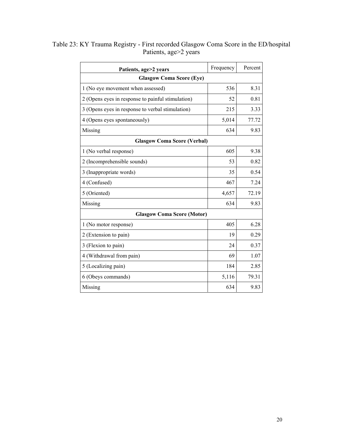| Patients, age>2 years                             | Frequency                          | Percent |  |  |  |  |  |  |  |
|---------------------------------------------------|------------------------------------|---------|--|--|--|--|--|--|--|
| <b>Glasgow Coma Score (Eye)</b>                   |                                    |         |  |  |  |  |  |  |  |
| 1 (No eye movement when assessed)                 | 536                                | 8.31    |  |  |  |  |  |  |  |
| 2 (Opens eyes in response to painful stimulation) | 52                                 | 0.81    |  |  |  |  |  |  |  |
| 3 (Opens eyes in response to verbal stimulation)  | 215                                | 3.33    |  |  |  |  |  |  |  |
| 4 (Opens eyes spontaneously)                      | 5,014                              | 77.72   |  |  |  |  |  |  |  |
| Missing                                           | 634                                | 9.83    |  |  |  |  |  |  |  |
|                                                   | <b>Glasgow Coma Score (Verbal)</b> |         |  |  |  |  |  |  |  |
| 1 (No verbal response)                            | 605                                | 9.38    |  |  |  |  |  |  |  |
| 2 (Incomprehensible sounds)                       | 53                                 | 0.82    |  |  |  |  |  |  |  |
| 3 (Inappropriate words)                           | 35                                 | 0.54    |  |  |  |  |  |  |  |
| 4 (Confused)                                      | 467                                | 7.24    |  |  |  |  |  |  |  |
| 5 (Oriented)                                      | 4,657                              | 72.19   |  |  |  |  |  |  |  |
| Missing                                           | 634                                | 9.83    |  |  |  |  |  |  |  |
| <b>Glasgow Coma Score (Motor)</b>                 |                                    |         |  |  |  |  |  |  |  |
| 1 (No motor response)                             | 405                                | 6.28    |  |  |  |  |  |  |  |
| 2 (Extension to pain)                             | 19                                 | 0.29    |  |  |  |  |  |  |  |
| 3 (Flexion to pain)                               | 24                                 | 0.37    |  |  |  |  |  |  |  |
| 4 (Withdrawal from pain)                          | 69                                 | 1.07    |  |  |  |  |  |  |  |
| 5 (Localizing pain)                               | 184                                | 2.85    |  |  |  |  |  |  |  |
| 6 (Obeys commands)                                | 5,116                              | 79.31   |  |  |  |  |  |  |  |
| Missing                                           | 634                                | 9.83    |  |  |  |  |  |  |  |

Table 23: KY Trauma Registry - First recorded Glasgow Coma Score in the ED/hospital Patients, age>2 years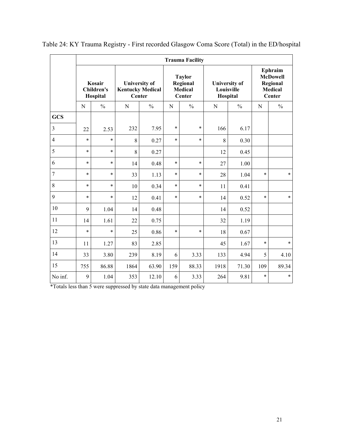|            | <b>Trauma Facility</b>                  |               |           |                                                                  |        |                                                              |                    |                                                |                                                                    |               |  |  |  |
|------------|-----------------------------------------|---------------|-----------|------------------------------------------------------------------|--------|--------------------------------------------------------------|--------------------|------------------------------------------------|--------------------------------------------------------------------|---------------|--|--|--|
|            | Kosair<br><b>Children's</b><br>Hospital |               |           | <b>University of</b><br><b>Kentucky Medical</b><br><b>Center</b> |        | <b>Taylor</b><br>Regional<br><b>Medical</b><br><b>Center</b> |                    | <b>University of</b><br>Louisville<br>Hospital | Ephraim<br><b>McDowell</b><br>Regional<br><b>Medical</b><br>Center |               |  |  |  |
|            | N                                       | $\frac{0}{0}$ | ${\bf N}$ | $\frac{0}{0}$                                                    | N      | $\frac{0}{0}$                                                | $\frac{0}{0}$<br>N |                                                | N                                                                  | $\frac{0}{0}$ |  |  |  |
| <b>GCS</b> |                                         |               |           |                                                                  |        |                                                              |                    |                                                |                                                                    |               |  |  |  |
| 3          | 22                                      | 2.53          | 232       | 7.95                                                             | $\ast$ | $\ast$                                                       | 166                | 6.17                                           |                                                                    |               |  |  |  |
| 4          | $\ast$                                  | $\ast$        | 8         | 0.27                                                             | $\ast$ | $\ast$                                                       | 8                  | 0.30                                           |                                                                    |               |  |  |  |
| 5          | $\ast$                                  | $\ast$        | 8         | 0.27                                                             |        |                                                              | 12                 | 0.45                                           |                                                                    |               |  |  |  |
| 6          | $\ast$                                  | $\ast$        | 14        | 0.48                                                             | $\ast$ | $\ast$                                                       | 27                 | 1.00                                           |                                                                    |               |  |  |  |
| 7          | $\ast$                                  | $\ast$        | 33        | 1.13                                                             | $\ast$ | $\ast$                                                       | 28                 | 1.04                                           | $\ast$                                                             | $\ast$        |  |  |  |
| 8          | $\ast$                                  | $\ast$        | 10        | 0.34                                                             | $\ast$ | $\ast$                                                       | 11                 | 0.41                                           |                                                                    |               |  |  |  |
| 9          | $\ast$                                  | $\ast$        | 12        | 0.41                                                             | $\ast$ | $\ast$                                                       | 14                 | 0.52                                           | $\ast$                                                             | $\ast$        |  |  |  |
| 10         | 9                                       | 1.04          | 14        | 0.48                                                             |        |                                                              | 14                 | 0.52                                           |                                                                    |               |  |  |  |
| 11         | 14                                      | 1.61          | 22        | 0.75                                                             |        |                                                              | 32                 | 1.19                                           |                                                                    |               |  |  |  |
| 12         | $\ast$                                  | $\ast$        | 25        | 0.86                                                             | $\ast$ | $\ast$                                                       | 18                 | 0.67                                           |                                                                    |               |  |  |  |
| 13         | 11                                      | 1.27          | 83        | 2.85                                                             |        |                                                              | 45                 | 1.67                                           | $\ast$                                                             | $\ast$        |  |  |  |
| 14         | 33                                      | 3.80          | 239       | 8.19                                                             | 6      | 3.33                                                         | 133                | 4.94                                           | 5                                                                  | 4.10          |  |  |  |
| 15         | 755                                     | 86.88         | 1864      | 63.90                                                            | 159    | 88.33                                                        | 1918               | 71.30                                          | 109                                                                | 89.34         |  |  |  |
| No inf.    | 9                                       | 1.04          | 353       | 12.10                                                            | 6      | 3.33                                                         | 264                | 9.81                                           | $\ast$                                                             | $\ast$        |  |  |  |

Table 24: KY Trauma Registry - First recorded Glasgow Coma Score (Total) in the ED/hospital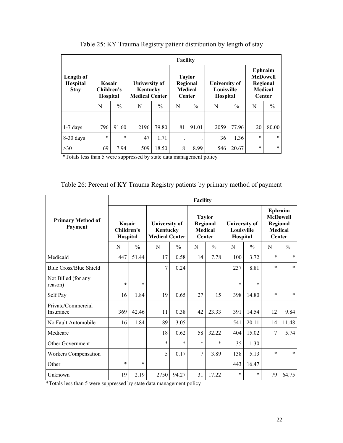|                                      | <b>Facility</b>                         |               |                                                    |               |                                           |               |                                                |               |                                                                           |               |  |  |  |
|--------------------------------------|-----------------------------------------|---------------|----------------------------------------------------|---------------|-------------------------------------------|---------------|------------------------------------------------|---------------|---------------------------------------------------------------------------|---------------|--|--|--|
| Length of<br>Hospital<br><b>Stay</b> | Kosair<br>Children's<br><b>Hospital</b> |               | University of<br>Kentucky<br><b>Medical Center</b> |               | <b>Taylor</b><br><b>Medical</b><br>Center | Regional      | University of<br>Louisville<br><b>Hospital</b> |               | Ephraim<br><b>McDowell</b><br>Regional<br><b>Medical</b><br><b>Center</b> |               |  |  |  |
|                                      | N                                       | $\frac{0}{0}$ | N                                                  | $\frac{0}{0}$ | N                                         | $\frac{0}{0}$ |                                                | $\frac{0}{0}$ | N                                                                         | $\frac{0}{0}$ |  |  |  |
|                                      |                                         |               |                                                    |               |                                           |               |                                                |               |                                                                           |               |  |  |  |
| $1-7$ days                           | 796                                     | 91.60         | 2196                                               | 79.80         | 81                                        | 91.01         | 2059                                           | 77.96         | 20                                                                        | 80.00         |  |  |  |
| 8-30 days                            | $\ast$                                  | $\ast$        | 47                                                 | 1.71          |                                           |               | 36                                             | 1.36          | $\ast$                                                                    | $\ast$        |  |  |  |
| $>30$                                | 69                                      | 7.94          | 509                                                | 18.50         | 8                                         | 8.99          | 546                                            | 20.67         | $\ast$                                                                    | $\ast$        |  |  |  |

Table 25: KY Trauma Registry patient distribution by length of stay

#### Table 26: Percent of KY Trauma Registry patients by primary method of payment

|                                     | Facility                         |               |                                                           |               |                                                       |               |                                                |               |                                                                           |               |  |  |
|-------------------------------------|----------------------------------|---------------|-----------------------------------------------------------|---------------|-------------------------------------------------------|---------------|------------------------------------------------|---------------|---------------------------------------------------------------------------|---------------|--|--|
| <b>Primary Method of</b><br>Payment | Kosair<br>Children's<br>Hospital |               | <b>University of</b><br>Kentucky<br><b>Medical Center</b> |               | <b>Taylor</b><br>Regional<br><b>Medical</b><br>Center |               | <b>University of</b><br>Louisville<br>Hospital |               | <b>Ephraim</b><br><b>McDowell</b><br>Regional<br><b>Medical</b><br>Center |               |  |  |
|                                     | N                                | $\frac{0}{0}$ | N                                                         | $\frac{0}{0}$ | N                                                     | $\frac{0}{0}$ | N                                              | $\frac{0}{0}$ | N                                                                         | $\frac{0}{0}$ |  |  |
| Medicaid                            | 447                              | 51.44         | 17                                                        | 0.58          | 14                                                    | 7.78          | 100                                            | 3.72          | $\ast$                                                                    | $\ast$        |  |  |
| <b>Blue Cross/Blue Shield</b>       |                                  |               | 7                                                         | 0.24          |                                                       |               | 237                                            | 8.81          | $\ast$                                                                    | $\ast$        |  |  |
| Not Billed (for any<br>reason)      | $\ast$                           | $\ast$        |                                                           |               |                                                       |               | $\ast$                                         | $\ast$        |                                                                           |               |  |  |
| Self Pay                            | 16                               | 1.84          | 19                                                        | 0.65          | 27                                                    | 15            | 398                                            | 14.80         | $\ast$                                                                    | $\ast$        |  |  |
| Private/Commercial<br>Insurance     | 369                              | 42.46         | 11                                                        | 0.38          | 42                                                    | 23.33         | 391                                            | 14.54         | 12                                                                        | 9.84          |  |  |
| No Fault Automobile                 | 16                               | 1.84          | 89                                                        | 3.05          |                                                       |               | 541                                            | 20.11         | 14                                                                        | 11.48         |  |  |
| Medicare                            |                                  |               | 18                                                        | 0.62          | 58                                                    | 32.22         | 404                                            | 15.02         | 7                                                                         | 5.74          |  |  |
| <b>Other Government</b>             |                                  |               | $\ast$                                                    | $\ast$        | $\ast$                                                | $\ast$        | 35                                             | 1.30          |                                                                           |               |  |  |
| <b>Workers Compensation</b>         |                                  |               | 5                                                         | 0.17          | 7                                                     | 3.89          | 138                                            | 5.13          | $\ast$                                                                    | $\ast$        |  |  |
| Other                               | $\ast$                           | $\ast$        |                                                           |               |                                                       |               | 443                                            | 16.47         |                                                                           |               |  |  |
| Unknown                             | 19                               | 2.19          | 2750                                                      | 94.27         | 31                                                    | 17.22         | $\ast$                                         | $\ast$        | 79                                                                        | 64.75         |  |  |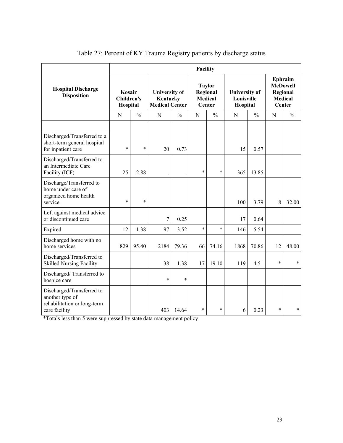|                                                                                              | Facility                         |               |                                                           |               |                                                       |               |                                                |               |                                                                    |               |  |  |
|----------------------------------------------------------------------------------------------|----------------------------------|---------------|-----------------------------------------------------------|---------------|-------------------------------------------------------|---------------|------------------------------------------------|---------------|--------------------------------------------------------------------|---------------|--|--|
| <b>Hospital Discharge</b><br><b>Disposition</b>                                              | Kosair<br>Children's<br>Hospital |               | <b>University of</b><br>Kentucky<br><b>Medical Center</b> |               | <b>Taylor</b><br>Regional<br><b>Medical</b><br>Center |               | <b>University of</b><br>Louisville<br>Hospital |               | Ephraim<br><b>McDowell</b><br>Regional<br><b>Medical</b><br>Center |               |  |  |
|                                                                                              | $\mathbf N$                      | $\frac{0}{0}$ | N                                                         | $\frac{0}{0}$ | N                                                     | $\frac{0}{0}$ | N                                              | $\frac{0}{0}$ | N                                                                  | $\frac{0}{0}$ |  |  |
| Discharged/Transferred to a<br>short-term general hospital<br>for inpatient care             | $\ast$                           | $\ast$        | 20                                                        | 0.73          |                                                       |               | 15                                             | 0.57          |                                                                    |               |  |  |
| Discharged/Transferred to<br>an Intermediate Care<br>Facility (ICF)                          | 25                               | 2.88          |                                                           |               | $\ast$                                                | $\ast$        | 365                                            | 13.85         |                                                                    |               |  |  |
| Discharge/Transferred to<br>home under care of<br>organized home health<br>service           | $\ast$                           | $\ast$        |                                                           |               |                                                       |               | 100                                            | 3.79          | 8                                                                  | 32.00         |  |  |
| Left against medical advice<br>or discontinued care                                          |                                  |               | $\overline{7}$                                            | 0.25          |                                                       |               | 17                                             | 0.64          |                                                                    |               |  |  |
| Expired                                                                                      | 12                               | 1.38          | 97                                                        | 3.52          | $\ast$                                                | $\ast$        | 146                                            | 5.54          |                                                                    |               |  |  |
| Discharged home with no<br>home services                                                     | 829                              | 95.40         | 2184                                                      | 79.36         | 66                                                    | 74.16         | 1868                                           | 70.86         | 12                                                                 | 48.00         |  |  |
| Discharged/Transferred to<br><b>Skilled Nursing Facility</b>                                 |                                  |               | 38                                                        | 1.38          | 17                                                    | 19.10         | 119                                            | 4.51          | $\ast$                                                             | $\ast$        |  |  |
| Discharged/Transferred to<br>hospice care                                                    |                                  |               | $\ast$                                                    | $\ast$        |                                                       |               |                                                |               |                                                                    |               |  |  |
| Discharged/Transferred to<br>another type of<br>rehabilitation or long-term<br>care facility |                                  |               | 403                                                       | 14.64         | $\star$                                               | $\ast$        | 6                                              | 0.23          | $\ast$                                                             | $\star$       |  |  |

# Table 27: Percent of KY Trauma Registry patients by discharge status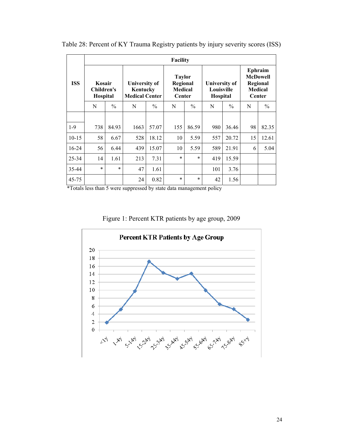|            | <b>Facility</b>                  |               |                                                    |               |                                                |               |                                         |               |                                                                    |               |  |  |  |  |
|------------|----------------------------------|---------------|----------------------------------------------------|---------------|------------------------------------------------|---------------|-----------------------------------------|---------------|--------------------------------------------------------------------|---------------|--|--|--|--|
| <b>ISS</b> | Kosair<br>Children's<br>Hospital |               | University of<br>Kentucky<br><b>Medical Center</b> |               | <b>Taylor</b><br>Regional<br>Medical<br>Center |               | University of<br>Louisville<br>Hospital |               | Ephraim<br><b>McDowell</b><br>Regional<br><b>Medical</b><br>Center |               |  |  |  |  |
|            | N                                | $\frac{0}{0}$ | N                                                  | $\frac{0}{0}$ | N                                              | $\frac{0}{0}$ | N                                       | $\frac{0}{0}$ | N                                                                  | $\frac{0}{0}$ |  |  |  |  |
|            |                                  |               |                                                    |               |                                                |               |                                         |               |                                                                    |               |  |  |  |  |
| $1-9$      | 738                              | 84.93         | 1663                                               | 57.07         | 155                                            | 86.59         | 980                                     | 36.46         | 98                                                                 | 82.35         |  |  |  |  |
| $10 - 15$  | 58                               | 6.67          | 528                                                | 18.12         | 10                                             | 5.59          | 557                                     | 20.72         | 15                                                                 | 12.61         |  |  |  |  |
| $16-24$    | 56                               | 6.44          | 439                                                | 15.07         | 10                                             | 5.59          | 589                                     | 21.91         | 6                                                                  | 5.04          |  |  |  |  |
| 25-34      | 14                               | 1.61          | 213                                                | 7.31          | $\ast$                                         | $\ast$        | 419                                     | 15.59         |                                                                    |               |  |  |  |  |
| 35-44      | $\star$                          | $\ast$        | 47                                                 | 1.61          |                                                |               | 101                                     | 3.76          |                                                                    |               |  |  |  |  |
| 45-75      |                                  |               | 24                                                 | 0.82          | $\ast$                                         | $\ast$        | 42                                      | 1.56          |                                                                    |               |  |  |  |  |

Table 28: Percent of KY Trauma Registry patients by injury severity scores (ISS)

Figure 1: Percent KTR patients by age group, 2009

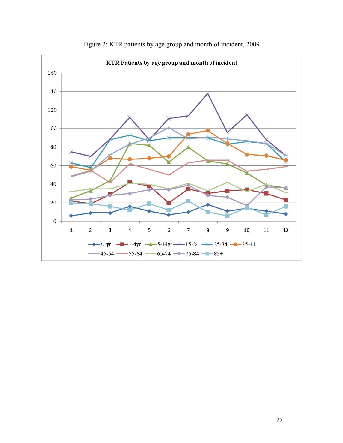

Figure 2: KTR patients by age group and month of incident, 2009